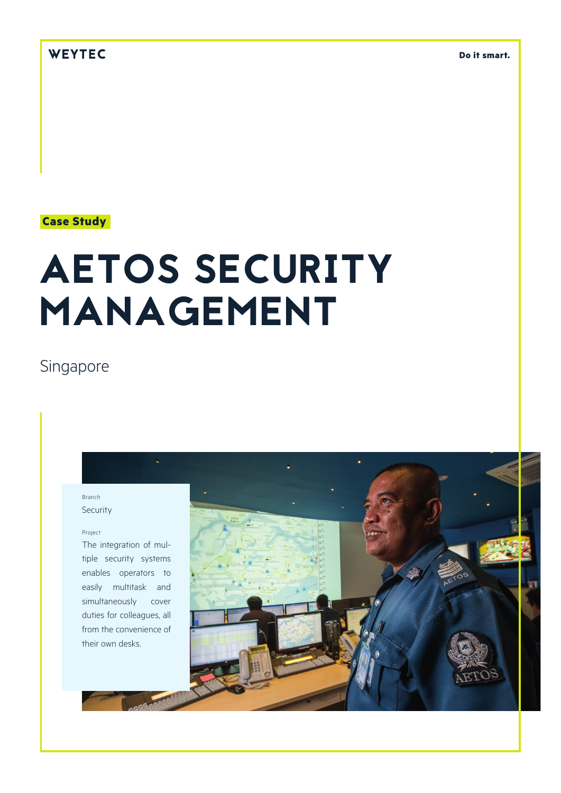## WEYTEC

**Do it smart.**

## **Case Study**

# AETOS SECURITY MANAGEMENT

# Singapore

#### Branch Security

#### Project

The integration of multiple security systems enables operators to easily multitask and simultaneously cover duties for colleagues, all from the convenience of their own desks.

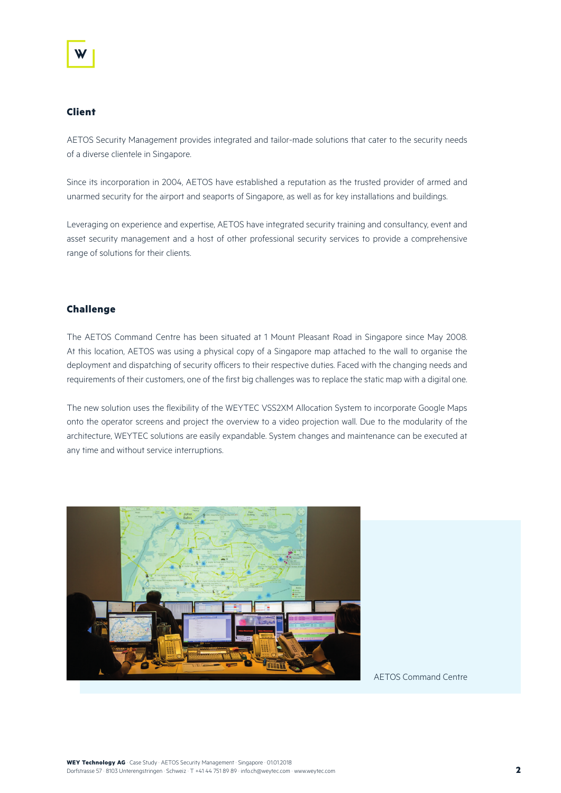#### **Client**

AETOS Security Management provides integrated and tailor-made solutions that cater to the security needs of a diverse clientele in Singapore.

Since its incorporation in 2004, AETOS have established a reputation as the trusted provider of armed and unarmed security for the airport and seaports of Singapore, as well as for key installations and buildings.

Leveraging on experience and expertise, AETOS have integrated security training and consultancy, event and asset security management and a host of other professional security services to provide a comprehensive range of solutions for their clients.

#### **Challenge**

The AETOS Command Centre has been situated at 1 Mount Pleasant Road in Singapore since May 2008. At this location, AETOS was using a physical copy of a Singapore map attached to the wall to organise the deployment and dispatching of security officers to their respective duties. Faced with the changing needs and requirements of their customers, one of the first big challenges was to replace the static map with a digital one.

The new solution uses the flexibility of the WEYTEC VSS2XM Allocation System to incorporate Google Maps onto the operator screens and project the overview to a video projection wall. Due to the modularity of the architecture, WEYTEC solutions are easily expandable. System changes and maintenance can be executed at any time and without service interruptions.



AETOS Command Centre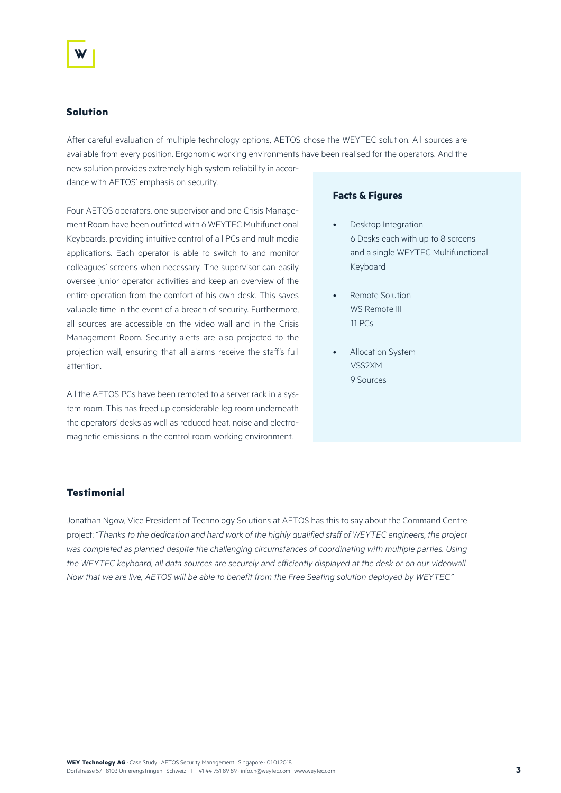#### **Solution**

After careful evaluation of multiple technology options, AETOS chose the WEYTEC solution. All sources are available from every position. Ergonomic working environments have been realised for the operators. And the

new solution provides extremely high system reliability in accordance with AETOS' emphasis on security.

Four AETOS operators, one supervisor and one Crisis Management Room have been outfitted with 6 WEYTEC Multifunctional Keyboards, providing intuitive control of all PCs and multimedia applications. Each operator is able to switch to and monitor colleagues' screens when necessary. The supervisor can easily oversee junior operator activities and keep an overview of the entire operation from the comfort of his own desk. This saves valuable time in the event of a breach of security. Furthermore, all sources are accessible on the video wall and in the Crisis Management Room. Security alerts are also projected to the projection wall, ensuring that all alarms receive the staff's full attention.

All the AETOS PCs have been remoted to a server rack in a system room. This has freed up considerable leg room underneath the operators' desks as well as reduced heat, noise and electromagnetic emissions in the control room working environment.

#### **Facts & Figures**

- Desktop Integration 6 Desks each with up to 8 screens and a single WEYTEC Multifunctional Keyboard
- Remote Solution WS Remote III 11 PCs
- Allocation System VSS2XM 9 Sources

### **Testimonial**

Jonathan Ngow, Vice President of Technology Solutions at AETOS has this to say about the Command Centre project: *"Thanks to the dedication and hard work of the highly qualified staff of WEYTEC engineers, the project was completed as planned despite the challenging circumstances of coordinating with multiple parties. Using*  the WEYTEC keyboard, all data sources are securely and efficiently displayed at the desk or on our videowall. *Now that we are live, AETOS will be able to benefit from the Free Seating solution deployed by WEYTEC."*